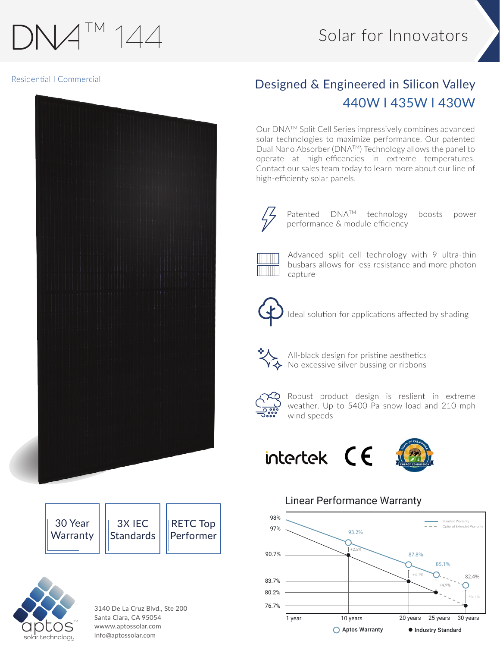# TM  $144$

## Solar for Innovators

#### Residential l Commercial



| 30 Year  | 3X IEC            | $\parallel$ RETC Top $\parallel$ |
|----------|-------------------|----------------------------------|
| Warranty | <b>IStandards</b> | <b>Performer</b>                 |
|          |                   |                                  |



3140 De La Cruz Blvd., Ste 200 Santa Clara, CA 95054 wwww.aptossolar.com info@aptossolar.com

## Designed & Engineered in Silicon Valley 440W l 435W l 430W

Our DNATM Split Cell Series impressively combines advanced solar technologies to maximize performance. Our patented Dual Nano Absorber (DNATM) Technology allows the panel to operate at high-efficencies in extreme temperatures. Contact our sales team today to learn more about our line of high-efficienty solar panels.



Patented DNATM technology boosts power performance & module efficiency



Advanced split cell technology with 9 ultra-thin busbars allows for less resistance and more photon capture



Ideal solution for applications affected by shading



All-black design for pristine aesthetics No excessive silver bussing or ribbons



Robust product design is reslient in extreme weather. Up to 5400 Pa snow load and 210 mph wind speeds

## intertek  $CE$



## Linear Performance Warranty